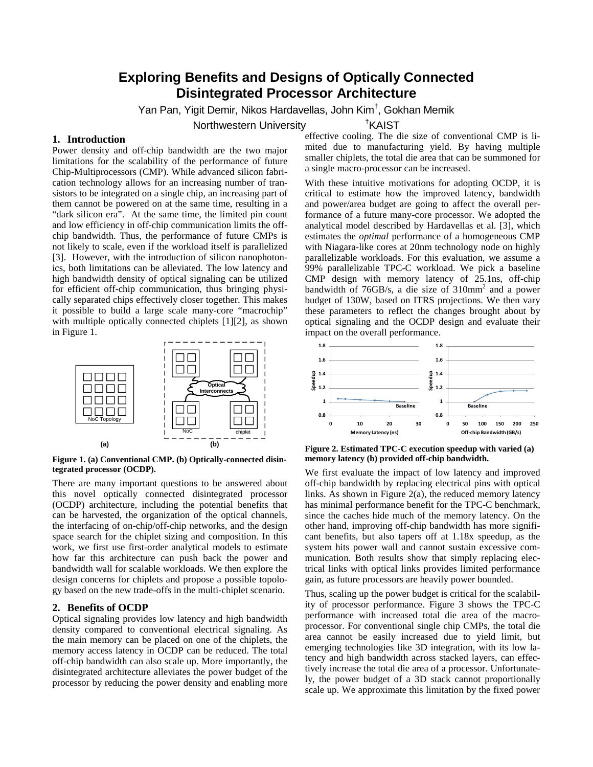# **Exploring Benefits and Designs of Optically Connected Disintegrated Processor Architecture**

Yan Pan, Yigit Demir, Nikos Hardavellas, John Kim† , Gokhan Memik

Northwestern University †

### **1. Introduction**

Power density and off-chip bandwidth are the two major limitations for the scalability of the performance of future Chip-Multiprocessors (CMP). While advanced silicon fabrication technology allows for an increasing number of transistors to be integrated on a single chip, an increasing part of them cannot be powered on at the same time, resulting in a "dark silicon era". At the same time, the limited pin count and low efficiency in off-chip communication limits the offchip bandwidth. Thus, the performance of future CMPs is not likely to scale, even if the workload itself is parallelized [\[3\].](#page-1-0) However, with the introduction of silicon nanophotonics, both limitations can be alleviated. The low latency and high bandwidth density of optical signaling can be utilized for efficient off-chip communication, thus bringing physically separated chips effectively closer together. This makes it possible to build a large scale many-core "macrochip" with multiple optically connected chiplets [\[1\]\[2\],](#page-1-1) as shown in Figure 1.



**Figure 1. (a) Conventional CMP. (b) Optically-connected disintegrated processor (OCDP).** 

There are many important questions to be answered about this novel optically connected disintegrated processor (OCDP) architecture, including the potential benefits that can be harvested, the organization of the optical channels, the interfacing of on-chip/off-chip networks, and the design space search for the chiplet sizing and composition. In this work, we first use first-order analytical models to estimate how far this architecture can push back the power and bandwidth wall for scalable workloads. We then explore the design concerns for chiplets and propose a possible topology based on the new trade-offs in the multi-chiplet scenario.

## **2. Benefits of OCDP**

Optical signaling provides low latency and high bandwidth density compared to conventional electrical signaling. As the main memory can be placed on one of the chiplets, the memory access latency in OCDP can be reduced. The total off-chip bandwidth can also scale up. More importantly, the disintegrated architecture alleviates the power budget of the processor by reducing the power density and enabling more

effective cooling. The die size of conventional CMP is limited due to manufacturing yield. By having multiple smaller chiplets, the total die area that can be summoned for a single macro-processor can be increased.

<sup>†</sup>KAIST

With these intuitive motivations for adopting OCDP, it is critical to estimate how the improved latency, bandwidth and power/area budget are going to affect the overall performance of a future many-core processor. We adopted the analytical model described by Hardavellas et al. [\[3\],](#page-1-0) which estimates the *optimal* performance of a homogeneous CMP with Niagara-like cores at 20nm technology node on highly parallelizable workloads. For this evaluation, we assume a 99% parallelizable TPC-C workload. We pick a baseline CMP design with memory latency of 25.1ns, off-chip bandwidth of 76GB/s, a die size of 310mm2 and a power budget of 130W, based on ITRS projections. We then vary these parameters to reflect the changes brought about by optical signaling and the OCDP design and evaluate their impact on the overall performance.



**Figure 2. Estimated TPC-C execution speedup with varied (a) memory latency (b) provided off-chip bandwidth.** 

We first evaluate the impact of low latency and improved off-chip bandwidth by replacing electrical pins with optical links. As shown in Figure 2(a), the reduced memory latency has minimal performance benefit for the TPC-C benchmark, since the caches hide much of the memory latency. On the other hand, improving off-chip bandwidth has more significant benefits, but also tapers off at 1.18x speedup, as the system hits power wall and cannot sustain excessive communication. Both results show that simply replacing electrical links with optical links provides limited performance gain, as future processors are heavily power bounded.

Thus, scaling up the power budget is critical for the scalability of processor performance. Figure 3 shows the TPC-C performance with increased total die area of the macroprocessor. For conventional single chip CMPs, the total die area cannot be easily increased due to yield limit, but emerging technologies like 3D integration, with its low latency and high bandwidth across stacked layers, can effectively increase the total die area of a processor. Unfortunately, the power budget of a 3D stack cannot proportionally scale up. We approximate this limitation by the fixed power